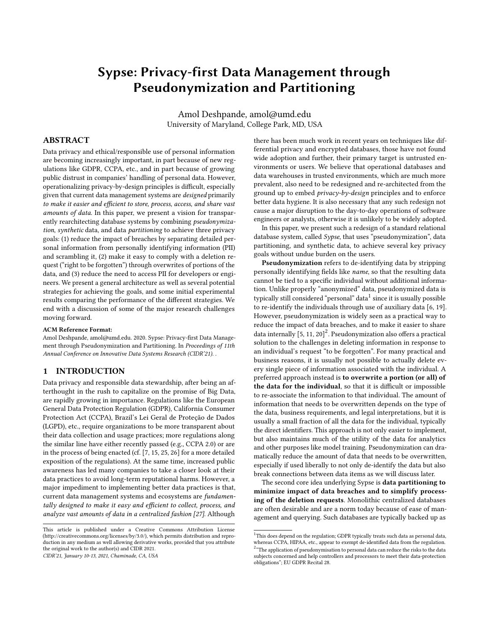# Sypse: Privacy-first Data Management through Pseudonymization and Partitioning

Amol Deshpande, amol@umd.edu University of Maryland, College Park, MD, USA

### ABSTRACT

Data privacy and ethical/responsible use of personal information are becoming increasingly important, in part because of new regulations like GDPR, CCPA, etc., and in part because of growing public distrust in companies' handling of personal data. However, operationalizing privacy-by-design principles is difficult, especially given that current data management systems are designed primarily to make it easier and efficient to store, process, access, and share vast amounts of data. In this paper, we present a vision for transparently rearchitecting database systems by combining pseudonymization, synthetic data, and data partitioning to achieve three privacy goals: (1) reduce the impact of breaches by separating detailed personal information from personally identifying information (PII) and scrambling it, (2) make it easy to comply with a deletion request ("right to be forgotten") through overwrites of portions of the data, and (3) reduce the need to access PII for developers or engineers. We present a general architecture as well as several potential strategies for achieving the goals, and some initial experimental results comparing the performance of the different strategies. We end with a discussion of some of the major research challenges moving forward.

#### ACM Reference Format:

Amol Deshpande, amol@umd.edu. 2020. Sypse: Privacy-first Data Management through Pseudonymization and Partitioning. In Proceedings of 11th Annual Conference on Innovative Data Systems Research (CIDR'21). .

#### 1 INTRODUCTION

Data privacy and responsible data stewardship, after being an afterthought in the rush to capitalize on the promise of Big Data, are rapidly growing in importance. Regulations like the European General Data Protection Regulation (GDPR), California Consumer Protection Act (CCPA), Brazil's Lei Geral de Proteção de Dados (LGPD), etc., require organizations to be more transparent about their data collection and usage practices; more regulations along the similar line have either recently passed (e.g., CCPA 2.0) or are in the process of being enacted (cf. [\[7,](#page-7-0) [15,](#page-7-1) [25,](#page-7-2) [26\]](#page-7-3) for a more detailed exposition of the regulations). At the same time, increased public awareness has led many companies to take a closer look at their data practices to avoid long-term reputational harms. However, a major impediment to implementing better data practices is that, current data management systems and ecosystems are fundamentally designed to make it easy and efficient to collect, process, and analyze vast amounts of data in a centralized fashion [\[27\]](#page-7-4). Although

CIDR'21, January 10-13, 2021, Chaminade, CA, USA

there has been much work in recent years on techniques like differential privacy and encrypted databases, those have not found wide adoption and further, their primary target is untrusted environments or users. We believe that operational databases and data warehouses in trusted environments, which are much more prevalent, also need to be redesigned and re-architected from the ground up to embed privacy-by-design principles and to enforce better data hygiene. It is also necessary that any such redesign not cause a major disruption to the day-to-day operations of software engineers or analysts, otherwise it is unlikely to be widely adopted.

In this paper, we present such a redesign of a standard relational database system, called Sypse, that uses "pseudonymization", data partitioning, and synthetic data, to achieve several key privacy goals without undue burden on the users.

Pseudonymization refers to de-identifying data by stripping personally identifying fields like name, so that the resulting data cannot be tied to a specific individual without additional information. Unlike properly "anonymized" data, pseudonymized data is typically still considered "personal" data $^{\rm 1}$  $^{\rm 1}$  $^{\rm 1}$  since it is usually possible to re-identify the individuals through use of auxiliary data [\[6,](#page-7-5) [19\]](#page-7-6). However, pseudonymization is widely seen as a practical way to reduce the impact of data breaches, and to make it easier to share data internally  $[5, 11, 20]^2$  $[5, 11, 20]^2$  $[5, 11, 20]^2$  $[5, 11, 20]^2$  $[5, 11, 20]^2$  $[5, 11, 20]^2$  $[5, 11, 20]^2$ . Pseudonymization also offers a practical solution to the challenges in deleting information in response to an individual's request "to be forgotten". For many practical and business reasons, it is usually not possible to actually delete every single piece of information associated with the individual. A preferred approach instead is to overwrite a portion (or all) of the data for the individual, so that it is difficult or impossible to re-associate the information to that individual. The amount of information that needs to be overwritten depends on the type of the data, business requirements, and legal interpretations, but it is usually a small fraction of all the data for the individual, typically the direct identifiers. This approach is not only easier to implement, but also maintains much of the utility of the data for analytics and other purposes like model training. Pseudonymization can dramatically reduce the amount of data that needs to be overwritten, especially if used liberally to not only de-identify the data but also break connections between data items as we will discuss later.

The second core idea underlying Sypse is data partitioning to minimize impact of data breaches and to simplify processing of the deletion requests. Monolithic centralized databases are often desirable and are a norm today because of ease of management and querying. Such databases are typically backed up as

obligations"; EU GDPR Recital 28.

This article is published under a Creative Commons Attribution License (http://creativecommons.org/licenses/by/3.0/), which permits distribution and reproduction in any medium as well allowing derivative works, provided that you attribute the original work to the author(s) and CIDR 2021.

<span id="page-0-1"></span><span id="page-0-0"></span> $1$ This does depend on the regulation; GDPR typically treats such data as personal data, whereas CCPA, HIPAA, etc., appear to exempt de-identified data from the regulation. <sup>2</sup> "The application of pseudonymisation to personal data can reduce the risks to the data subjects concerned and help controllers and processors to meet their data-protection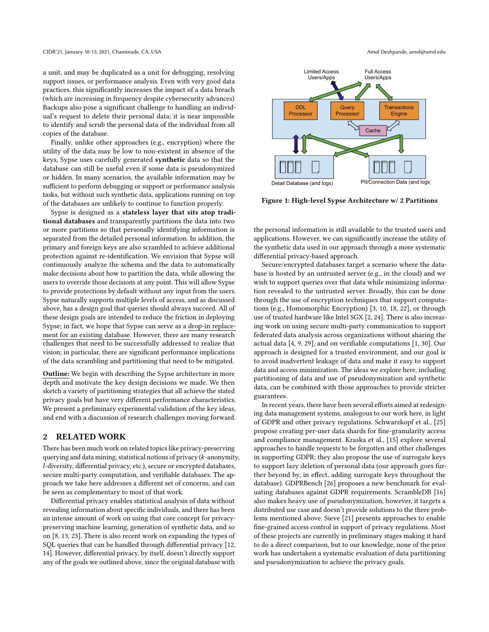a unit, and may be duplicated as a unit for debugging, resolving support issues, or performance analysis. Even with very good data practices, this significantly increases the impact of a data breach (which are increasing in frequency despite cybersecurity advances). Backups also pose a significant challenge to handling an individual's request to delete their personal data; it is near impossible to identify and scrub the personal data of the individual from all copies of the database.

Finally, unlike other approaches (e.g., encryption) where the utility of the data may be low to non-existent in absence of the keys, Sypse uses carefully generated synthetic data so that the database can still be useful even if some data is pseudonymized or hidden. In many scenarios, the available information may be sufficient to perform debugging or support or performance analysis tasks, but without such synthetic data, applications running on top of the databases are unlikely to continue to function properly.

Sypse is designed as a stateless layer that sits atop traditional databases and transparently partitions the data into two or more partitions so that personally identifying information is separated from the detailed personal information. In addition, the primary and foreign keys are also scrambled to achieve additional protection against re-identification. We envision that Sypse will continuously analyze the schema and the data to automatically make decisions about how to partition the data, while allowing the users to override those decisions at any point. This will allow Sypse to provide protections by default without any input from the users. Sypse naturally supports multiple levels of access, and as discussed above, has a design goal that queries should always succeed. All of these design goals are intended to reduce the friction in deploying Sypse; in fact, we hope that Sypse can serve as a drop-in replacement for an existing database. However, there are many research challenges that need to be successfully addressed to realize that vision; in particular, there are significant performance implications of the data scrambling and partitioning that need to be mitigated.

Outline: We begin with describing the Sypse architecture in more depth and motivate the key design decisions we made. We then sketch a variety of partitioning strategies that all achieve the stated privacy goals but have very different performance characteristics. We present a preliminary experimental validation of the key ideas, and end with a discussion of research challenges moving forward.

## 2 RELATED WORK

There has been much work on related topics like privacy-preserving querying and data mining, statistical notions of privacy (k-anonymity, l-diversity, differential privacy, etc.), secure or encrypted databases, secure multi-party computation, and verifiable databases. The approach we take here addresses a different set of concerns, and can be seen as complementary to most of that work.

Differential privacy enables statistical analysis of data without revealing information about specific individuals, and there has been an intense amount of work on using that core concept for privacypreserving machine learning, generation of synthetic data, and so on [\[8,](#page-7-10) [13,](#page-7-11) [23\]](#page-7-12). There is also recent work on expanding the types of SQL queries that can be handled through differential privacy [\[12,](#page-7-13) [14\]](#page-7-14). However, differential privacy, by itself, doesn't directly support any of the goals we outlined above, since the original database with

<span id="page-1-0"></span>

Figure 1: High-level Sypse Architecture w/ 2 Partitions

the personal information is still available to the trusted users and applications. However, we can significantly increase the utility of the synthetic data used in our approach through a more systematic differential privacy-based approach.

Secure/encrypted databases target a scenario where the database is hosted by an untrusted server (e.g., in the cloud) and we wish to support queries over that data while minimizing information revealed to the untrusted server. Broadly, this can be done through the use of encryption techniques that support computations (e.g., Homomorphic Encryption) [\[3,](#page-7-15) [10,](#page-7-16) [18,](#page-7-17) [22\]](#page-7-18), or through use of trusted hardware like Intel SGX [\[2,](#page-7-19) [24\]](#page-7-20). There is also increasing work on using secure multi-party communication to support federated data analysis across organizations without sharing the actual data [\[4,](#page-7-21) [9,](#page-7-22) [29\]](#page-7-23), and on verifiable computations [\[1,](#page-7-24) [30\]](#page-7-25). Our approach is designed for a trusted environment, and our goal is to avoid inadvertent leakage of data and make it easy to support data and access minimization. The ideas we explore here, including partitioning of data and use of pseudonymization and synthetic data, can be combined with those approaches to provide stricter guarantees.

In recent years, there have been several efforts aimed at redesigning data management systems, analogous to our work here, in light of GDPR and other privacy regulations. Schwarzkopf et al., [\[25\]](#page-7-2) propose creating per-user data shards for fine-granularity access and compliance management. Kraska et al., [\[15\]](#page-7-1) explore several approaches to handle requests to be forgotten and other challenges in supporting GDPR; they also propose the use of surrogate keys to support lazy deletion of personal data (our approach goes further beyond by, in effect, adding surrogate keys throughout the database). GDPRBench [\[26\]](#page-7-3) proposes a new benchmark for evaluating databases against GDPR requirements. ScrambleDB [\[16\]](#page-7-26) also makes heavy use of pseudonymization, however, it targets a distributed use case and doesn't provide solutions to the three problems mentioned above. Sieve [\[21\]](#page-7-27) presents approaches to enable fine-grained access control in support of privacy regulations. Most of these projects are currently in preliminary stages making it hard to do a direct comparison, but to our knowledge, none of the prior work has undertaken a systematic evaluation of data partitioning and pseudonymization to achieve the privacy goals.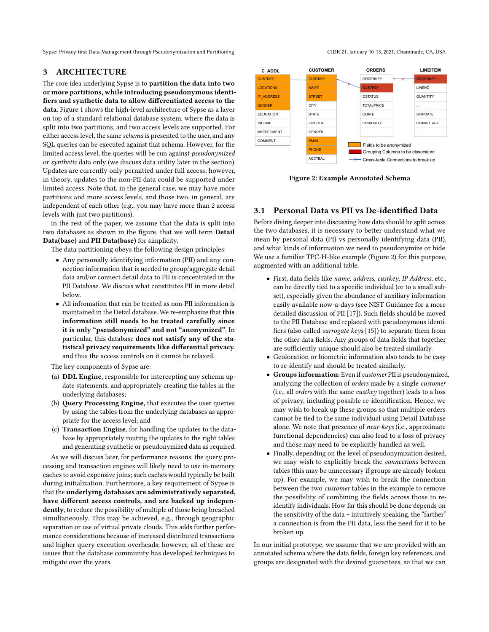Sypse: Privacy-first Data Management through Pseudonymization and Partitioning CIDR'21, January 10-13, 2021, Chaminade, CA, USA

#### 3 ARCHITECTURE

The core idea underlying Sypse is to partition the data into two or more partitions, while introducing pseudonymous identifiers and synthetic data to allow differentiated access to the data. Figure [1](#page-1-0) shows the high-level architecture of Sypse as a layer on top of a standard relational database system, where the data is split into two partitions, and two access levels are supported. For either access level, the same schema is presented to the user, and any SQL queries can be executed against that schema. However, for the limited access level, the queries will be run against pseudonymized or synthetic data only (we discuss data utility later in the section). Updates are currently only permitted under full access; however, in theory, updates to the non-PII data could be supported under limited access. Note that, in the general case, we may have more partitions and more access levels, and those two, in general, are independent of each other (e.g., you may have more than 2 access levels with just two partitions).

In the rest of the paper, we assume that the data is split into two databases as shown in the figure, that we will term Detail Data(base) and PII Data(base) for simplicity.

The data partitioning obeys the following design principles:

- Any personally identifying information (PII) and any connection information that is needed to group/aggregate detail data and/or connect detail data to PII is concentrated in the PII Database. We discuss what constitutes PII in more detail below.
- All information that can be treated as non-PII information is maintained in the Detail database. We re-emphasize that this information still needs to be treated carefully since it is only "pseudonymized" and not "anonymized". In particular, this database does not satisfy any of the statistical privacy requirements like differential privacy, and thus the access controls on it cannot be relaxed.

The key components of Sypse are:

- (a) DDL Engine, responsible for intercepting any schema update statements, and appropriately creating the tables in the underlying databases;
- (b) Query Processing Engine, that executes the user queries by using the tables from the underlying databases as appropriate for the access level; and
- (c) Transaction Engine, for handling the updates to the database by appropriately routing the updates to the right tables and generating synthetic or pseudonymized data as required.

As we will discuss later, for performance reasons, the query processing and transaction engines will likely need to use in-memory caches to avoid expensive joins; such caches would typically be built during initialization. Furthermore, a key requirement of Sypse is that the underlying databases are administratively separated, have different access controls, and are backed up independently, to reduce the possibility of multiple of those being breached simultaneously. This may be achieved, e.g., through geographic separation or use of virtual private clouds. This adds further performance considerations because of increased distributed transactions and higher query execution overheads; however, all of these are issues that the database community has developed techniques to mitigate over the years.



<span id="page-2-0"></span>

Figure 2: Example Annotated Schema

#### 3.1 Personal Data vs PII vs De-identified Data

Before diving deeper into discussing how data should be split across the two databases, it is necessary to better understand what we mean by personal data (PI) vs personally identifying data (PII), and what kinds of information we need to pseudonymize or hide. We use a familiar TPC-H-like example (Figure [2\)](#page-2-0) for this purpose, augmented with an additional table.

- First, data fields like name, address, custkey, IP Address, etc., can be directly tied to a specific individual (or to a small subset), especially given the abundance of auxiliary information easily available now-a-days (see NIST Guidance for a more detailed discussion of PII [\[17\]](#page-7-28)). Such fields should be moved to the PII Database and replaced with pseudonymous identifiers (also called *surrogate keys* [\[15\]](#page-7-1)) to separate them from the other data fields. Any groups of data fields that together are sufficiently unique should also be treated similarly.
- Geolocation or biometric information also tends to be easy to re-identify and should be treated similarly.
- Groups information: Even if customer PII is pseudonymized, analyzing the collection of orders made by a single customer (i.e., all orders with the same custkey together) leads to a loss of privacy, including possible re-identification. Hence, we may wish to break up these groups so that multiple orders cannot be tied to the same individual using Detail Database alone. We note that presence of *near-keys* (i.e., approximate functional dependencies) can also lead to a loss of privacy and those may need to be explicitly handled as well.
- Finally, depending on the level of pseudonymization desired, we may wish to explicitly break the connections between tables (this may be unnecessary if groups are already broken up). For example, we may wish to break the connection between the two customer tables in the example to remove the possibility of combining the fields across those to reidentify individuals. How far this should be done depends on the sensitivity of the data – intuitively speaking, the "farther" a connection is from the PII data, less the need for it to be broken up.

In our initial prototype, we assume that we are provided with an annotated schema where the data fields, foreign key references, and groups are designated with the desired guarantees, so that we can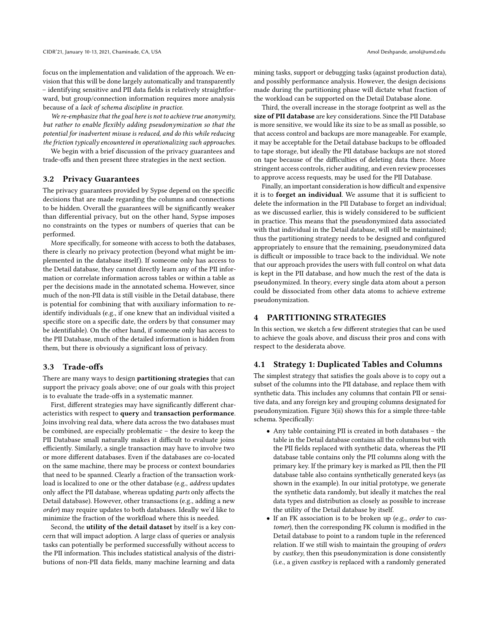focus on the implementation and validation of the approach. We envision that this will be done largely automatically and transparently – identifying sensitive and PII data fields is relatively straightforward, but group/connection information requires more analysis because of a lack of schema discipline in practice.

We re-emphasize that the goal here is not to achieve true anonymity, but rather to enable flexibly adding pseudonymization so that the potential for inadvertent misuse is reduced, and do this while reducing the friction typically encountered in operationalizing such approaches.

We begin with a brief discussion of the privacy guarantees and trade-offs and then present three strategies in the next section.

#### 3.2 Privacy Guarantees

The privacy guarantees provided by Sypse depend on the specific decisions that are made regarding the columns and connections to be hidden. Overall the guarantees will be significantly weaker than differential privacy, but on the other hand, Sypse imposes no constraints on the types or numbers of queries that can be performed.

More specifically, for someone with access to both the databases, there is clearly no privacy protection (beyond what might be implemented in the database itself). If someone only has access to the Detail database, they cannot directly learn any of the PII information or correlate information across tables or within a table as per the decisions made in the annotated schema. However, since much of the non-PII data is still visible in the Detail database, there is potential for combining that with auxiliary information to reidentify individuals (e.g., if one knew that an individual visited a specific store on a specific date, the orders by that consumer may be identifiable). On the other hand, if someone only has access to the PII Database, much of the detailed information is hidden from them, but there is obviously a significant loss of privacy.

#### 3.3 Trade-offs

There are many ways to design partitioning strategies that can support the privacy goals above; one of our goals with this project is to evaluate the trade-offs in a systematic manner.

First, different strategies may have significantly different characteristics with respect to query and transaction performance. Joins involving real data, where data across the two databases must be combined, are especially problematic – the desire to keep the PII Database small naturally makes it difficult to evaluate joins efficiently. Similarly, a single transaction may have to involve two or more different databases. Even if the databases are co-located on the same machine, there may be process or context boundaries that need to be spanned. Clearly a fraction of the transaction workload is localized to one or the other database (e.g., address updates only affect the PII database, whereas updating parts only affects the Detail database). However, other transactions (e.g., adding a new order) may require updates to both databases. Ideally we'd like to minimize the fraction of the workfload where this is needed.

Second, the utility of the detail dataset by itself is a key concern that will impact adoption. A large class of queries or analysis tasks can potentially be performed successfully without access to the PII information. This includes statistical analysis of the distributions of non-PII data fields, many machine learning and data

mining tasks, support or debugging tasks (against production data), and possibly performance analysis. However, the design decisions made during the partitioning phase will dictate what fraction of the workload can be supported on the Detail Database alone.

Third, the overall increase in the storage footprint as well as the size of PII database are key considerations. Since the PII Database is more sensitive, we would like its size to be as small as possible, so that access control and backups are more manageable. For example, it may be acceptable for the Detail database backups to be offloaded to tape storage, but ideally the PII database backups are not stored on tape because of the difficulties of deleting data there. More stringent access controls, richer auditing, and even review processes to approve access requests, may be used for the PII Database.

Finally, an important consideration is how difficult and expensive it is to forget an individual. We assume that it is sufficient to delete the information in the PII Database to forget an individual; as we discussed earlier, this is widely considered to be sufficient in practice. This means that the pseudonymized data associated with that individual in the Detail database, will still be maintained; thus the partitioning strategy needs to be designed and configured appropriately to ensure that the remaining, pseudonymized data is difficult or impossible to trace back to the individual. We note that our approach provides the users with full control on what data is kept in the PII database, and how much the rest of the data is pseudonymized. In theory, every single data atom about a person could be dissociated from other data atoms to achieve extreme pseudonymization.

#### 4 PARTITIONING STRATEGIES

In this section, we sketch a few different strategies that can be used to achieve the goals above, and discuss their pros and cons with respect to the desiderata above.

#### 4.1 Strategy 1: Duplicated Tables and Columns

The simplest strategy that satisfies the goals above is to copy out a subset of the columns into the PII database, and replace them with synthetic data. This includes any columns that contain PII or sensitive data, and any foreign key and grouping columns designated for pseudonymization. Figure [3\(](#page-4-0)ii) shows this for a simple three-table schema. Specifically:

- Any table containing PII is created in both databases the table in the Detail database contains all the columns but with the PII fields replaced with synthetic data, whereas the PII database table contains only the PII columns along with the primary key. If the primary key is marked as PII, then the PII database table also contains synthetically generated keys (as shown in the example). In our initial prototype, we generate the synthetic data randomly, but ideally it matches the real data types and distribution as closely as possible to increase the utility of the Detail database by itself.
- If an FK association is to be broken up (e.g., order to customer), then the corresponding FK column is modified in the Detail database to point to a random tuple in the referenced relation. If we still wish to maintain the grouping of orders by custkey, then this pseudonymization is done consistently (i.e., a given custkey is replaced with a randomly generated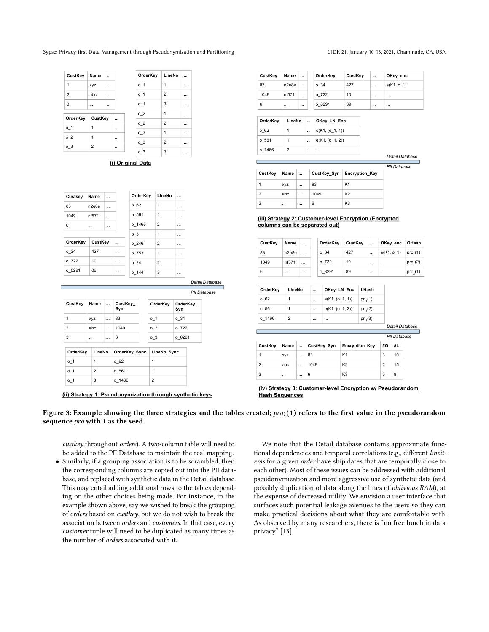<span id="page-4-0"></span>Sypse: Privacy-first Data Management through Pseudonymization and Partitioning CIDR'21, January 10-13, 2021, Chaminade, CA, USA

#### **OrderKey CustKey ...**  $0_1$  | 1  $0_2$  | 1  $0_3$  | 2 **CustKey Name ...** 1  $xyz$ 2 abc 3 ... ... **OrderKey LineNo ...**  $0 1$  1  $0_1$  | 2 o\_1 3 | ...  $0_2$  | 1  $\overline{\circ}$  2  $\overline{\circ}$  2  $0_3$  | 1  $0_3$  2  $0_3$  3

**(i) Original Data**

| n <sub>2e8e</sub><br>nf571<br> | $\cdots$<br>$\cdots$<br> |          | 062<br>0.561   | 1<br>1         | $\cdots$<br>$\ddotsc$ |  |
|--------------------------------|--------------------------|----------|----------------|----------------|-----------------------|--|
|                                |                          |          |                |                |                       |  |
|                                |                          |          |                |                |                       |  |
|                                |                          |          | $0_{1466}$     | $\overline{2}$ | $\cdots$              |  |
|                                |                          |          | 0 <sup>3</sup> | 1              | $\cdots$              |  |
|                                |                          |          | 0.246          | $\overline{2}$ |                       |  |
| 427                            |                          | $\cdots$ | o 753          | $\mathbf{1}$   | $\cdots$              |  |
| 10                             |                          | $\cdots$ | 024            | $\overline{2}$ | $\cdots$              |  |
| 89                             |                          | $\cdots$ | 0.144          | 3              | $\cdots$              |  |
|                                |                          | CustKey  |                |                |                       |  |

| CustKey            |          | Name           |               | CustKey<br>Syn | OrderKey       | OrderKey<br>Syn |
|--------------------|----------|----------------|---------------|----------------|----------------|-----------------|
| 1                  |          | XVZ            | $\cdots$      | 83             | 0 <sub>1</sub> | 0.34            |
| $\overline{2}$     |          | abc            | $\cdots$      | 1049           | 0 <sub>2</sub> | o 722           |
| 3                  | $\cdots$ |                | $\cdots$      | 6              | 0 <sup>3</sup> | o 8291          |
| OrderKey<br>LineNo |          |                | OrderKey_Sync | LineNo_Sync    |                |                 |
| 0 <sub>1</sub>     |          | 1              |               | 062            | 1              |                 |
| 0 <sub>1</sub>     |          | $\overline{2}$ |               | 0.561          | 1              |                 |
| $0-1$              |          | 3              |               | o 1466         | $\overline{2}$ |                 |

**(ii) Strategy 1: Pseudonymization through synthetic keys**

| CustKey | Name     | $\cdots$ | OrderKey | CustKey | $\ddotsc$ | OKey_enc   |
|---------|----------|----------|----------|---------|-----------|------------|
| 83      | n2e8e    |          | 0.34     | 427     | $\cdots$  | e(K1, o 1) |
| 1049    | nf571    | $\cdots$ | o 722    | 10      | $\cdots$  | $\cdots$   |
| 6       | $\cdots$ | $\cdots$ | 08291    | 89      | $\cdots$  | $\cdots$   |

| OrderKey | LineNo         | OKey_LN_Enc          |
|----------|----------------|----------------------|
| 062      | 1              | $ e(K1, (o_1, 1)) $  |
| 0.561    | 1              | $ e(K1, (0, 1, 2)) $ |
| 0 1466   | $\overline{2}$ | <br>                 |

**Detail Da** 

|                |          |          |      |                              | PII Database |
|----------------|----------|----------|------|------------------------------|--------------|
| CustKey        | Name     | $\sim$   |      | CustKey_Syn   Encryption_Key |              |
|                | XVZ      | $\cdots$ | 83   | K <sub>1</sub>               |              |
| $\overline{2}$ | abc      | $\cdots$ | 1049 | K <sub>2</sub>               |              |
| 3              | $\cdots$ | $\cdots$ | 6    | K <sub>3</sub>               |              |

#### **(iii) Strategy 2: Customer-level Encryption (Encrypted columns can be separated out)**

| CustKey | Name     | $\cdots$ | OrderKev | CustKev | $\ddotsc$ | OKey enc     | OHash                |
|---------|----------|----------|----------|---------|-----------|--------------|----------------------|
| 83      | n2e8e    |          | 0.34     | 427     | $\cdots$  | $e(K1, 0_1)$ | pro <sub>1</sub> (1) |
| 1049    | nf571    | $\cdots$ | o 722    | 10      | $\cdots$  | $\cdots$     | pro <sub>1</sub> (2) |
| 6       | $\cdots$ | $\cdots$ | 0.8291   | 89      | $\cdots$  | $\cdots$     | pro <sub>2</sub> (1) |

| OrderKey     | LineNo          |           | $\ddotsc$ | OKey LN Enc       |  | LHash                 |    |    |  |
|--------------|-----------------|-----------|-----------|-------------------|--|-----------------------|----|----|--|
| 062          | 1               |           | $\cdots$  | $e(K1, (o_1, 1))$ |  | prl <sub>1</sub> (1)  |    |    |  |
| 0.561        | 1               |           | $\cdots$  | $e(K1, (o_1, 2))$ |  | prl <sub>1</sub> (2)  |    |    |  |
| 0.1466       | $\overline{2}$  |           | $\cdots$  | $\cdots$          |  | prl <sub>1</sub> (3)  |    |    |  |
|              | Detail Database |           |           |                   |  |                       |    |    |  |
| PII Database |                 |           |           |                   |  |                       |    |    |  |
| CustKey      | Name            | $\ddotsc$ |           | CustKey Syn       |  | <b>Encryption Key</b> | #O | #L |  |
| 1            | xyz             | $\cdots$  | 83        |                   |  |                       | 3  | 10 |  |

**(iv) Strategy 3: Customer-level Encryption w/ Pseudorandom Hash Sequences**

2 abc ... 1049 K2 2 15 3 ... ... 6 K3 5 8

Figure 3: Example showing the three strategies and the tables created;  $proj(1)$  refers to the first value in the pseudorandom sequence pro with 1 as the seed.

custkey throughout orders). A two-column table will need to be added to the PII Database to maintain the real mapping.

● Similarly, if a grouping association is to be scrambled, then the corresponding columns are copied out into the PII database, and replaced with synthetic data in the Detail database. This may entail adding additional rows to the tables depending on the other choices being made. For instance, in the example shown above, say we wished to break the grouping of orders based on custkey, but we do not wish to break the association between orders and customers. In that case, every customer tuple will need to be duplicated as many times as the number of orders associated with it.

We note that the Detail database contains approximate functional dependencies and temporal correlations (e.g., different lineitems for a given order have ship dates that are temporally close to each other). Most of these issues can be addressed with additional pseudonymization and more aggressive use of synthetic data (and possibly duplication of data along the lines of oblivious RAM), at the expense of decreased utility. We envision a user interface that surfaces such potential leakage avenues to the users so they can make practical decisions about what they are comfortable with. As observed by many researchers, there is "no free lunch in data privacy" [\[13\]](#page-7-11).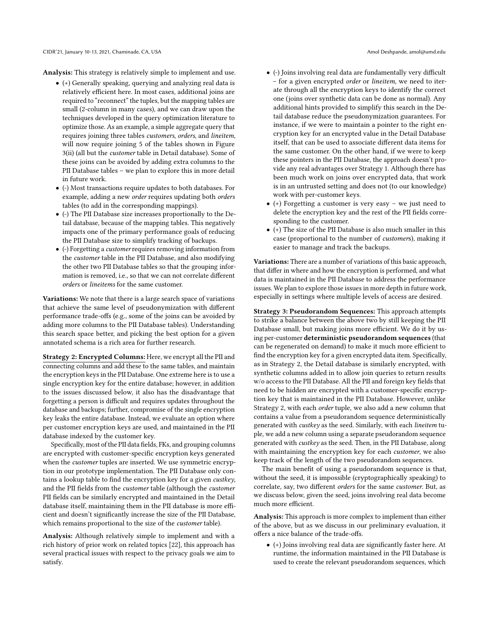Analysis: This strategy is relatively simple to implement and use.

- (+) Generally speaking, querying and analyzing real data is relatively efficient here. In most cases, additional joins are required to "reconnect" the tuples, but the mapping tables are small (2-column in many cases), and we can draw upon the techniques developed in the query optimization literature to optimize those. As an example, a simple aggregate query that requires joining three tables customers, orders, and lineitem, will now require joining 5 of the tables shown in Figure [3\(](#page-4-0)ii) (all but the customer table in Detail database). Some of these joins can be avoided by adding extra columns to the PII Database tables – we plan to explore this in more detail in future work.
- (-) Most transactions require updates to both databases. For example, adding a new order requires updating both orders tables (to add in the corresponding mappings).
- (-) The PII Database size increases proportionally to the Detail database, because of the mapping tables. This negatively impacts one of the primary performance goals of reducing the PII Database size to simplify tracking of backups.
- (-) Forgetting a customer requires removing information from the customer table in the PII Database, and also modifying the other two PII Database tables so that the grouping information is removed, i.e., so that we can not correlate different orders or lineitems for the same customer.

Variations: We note that there is a large search space of variations that achieve the same level of pseudonymization with different performance trade-offs (e.g., some of the joins can be avoided by adding more columns to the PII Database tables). Understanding this search space better, and picking the best option for a given annotated schema is a rich area for further research.

Strategy 2: Encrypted Columns: Here, we encrypt all the PII and connecting columns and add these to the same tables, and maintain the encryption keys in the PII Database. One extreme here is to use a single encryption key for the entire database; however, in addition to the issues discussed below, it also has the disadvantage that forgetting a person is difficult and requires updates throughout the database and backups; further, compromise of the single encryption key leaks the entire database. Instead, we evaluate an option where per customer encryption keys are used, and maintained in the PII database indexed by the customer key.

Specifically, most of the PII data fields, FKs, and grouping columns are encrypted with customer-specific encryption keys generated when the customer tuples are inserted. We use symmetric encryption in our prototype implementation. The PII Database only contains a lookup table to find the encryption key for a given custkey, and the PII fields from the customer table (although the customer PII fields can be similarly encrypted and maintained in the Detail database itself, maintaining them in the PII database is more efficient and doesn't significantly increase the size of the PII Database, which remains proportional to the size of the customer table).

Analysis: Although relatively simple to implement and with a rich history of prior work on related topics [\[22\]](#page-7-18), this approach has several practical issues with respect to the privacy goals we aim to satisfy.

- (-) Joins involving real data are fundamentally very difficult – for a given encrypted order or lineitem, we need to iterate through all the encryption keys to identify the correct one (joins over synthetic data can be done as normal). Any additional hints provided to simplify this search in the Detail database reduce the pseudonymization guarantees. For instance, if we were to maintain a pointer to the right encryption key for an encrypted value in the Detail Database itself, that can be used to associate different data items for the same customer. On the other hand, if we were to keep these pointers in the PII Database, the approach doesn't provide any real advantages over Strategy 1. Although there has been much work on joins over encrypted data, that work is in an untrusted setting and does not (to our knowledge) work with per-customer keys.
- (+) Forgetting a customer is very easy we just need to delete the encryption key and the rest of the PII fields corresponding to the customer.
- $\bullet$  (+) The size of the PII Database is also much smaller in this case (proportional to the number of customers), making it easier to manage and track the backups.

Variations: There are a number of variations of this basic approach, that differ in where and how the encryption is performed, and what data is maintained in the PII Database to address the performance issues. We plan to explore those issues in more depth in future work, especially in settings where multiple levels of access are desired.

Strategy 3: Pseudorandom Sequences: This approach attempts to strike a balance between the above two by still keeping the PII Database small, but making joins more efficient. We do it by using per-customer deterministic pseudorandom sequences (that can be regenerated on demand) to make it much more efficient to find the encryption key for a given encrypted data item. Specifically, as in Strategy 2, the Detail database is similarly encrypted, with synthetic columns added in to allow join queries to return results w/o access to the PII Database. All the PII and foreign key fields that need to be hidden are encrypted with a customer-specific encryption key that is maintained in the PII Database. However, unlike Strategy 2, with each order tuple, we also add a new column that contains a value from a pseudorandom sequence deterministically generated with custkey as the seed. Similarly, with each lineitem tuple, we add a new column using a separate pseudorandom sequence generated with custkey as the seed. Then, in the PII Database, along with maintaining the encryption key for each *customer*, we also keep track of the length of the two pseudorandom sequences.

The main benefit of using a pseudorandom sequence is that, without the seed, it is impossible (cryptographically speaking) to correlate, say, two different orders for the same customer. But, as we discuss below, given the seed, joins involving real data become much more efficient.

Analysis: This approach is more complex to implement than either of the above, but as we discuss in our preliminary evaluation, it offers a nice balance of the trade-offs.

● (+) Joins involving real data are significantly faster here. At runtime, the information maintained in the PII Database is used to create the relevant pseudorandom sequences, which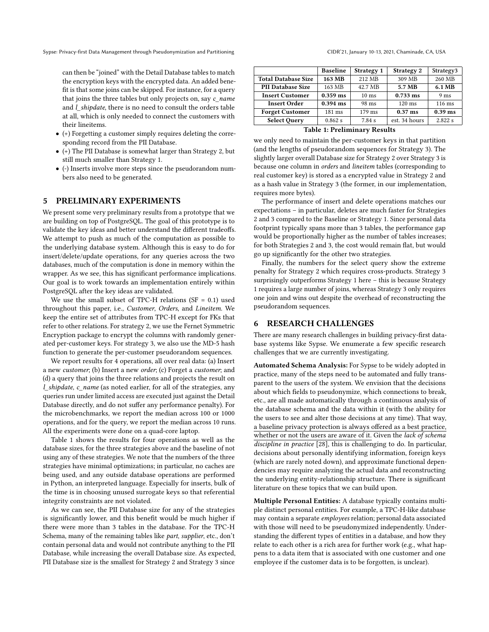can then be "joined" with the Detail Database tables to match the encryption keys with the encrypted data. An added benefit is that some joins can be skipped. For instance, for a query that joins the three tables but only projects on, say  $c$  name and *l* shipdate, there is no need to consult the orders table at all, which is only needed to connect the customers with their lineitems.

- (+) Forgetting a customer simply requires deleting the corresponding record from the PII Database.
- $\bullet$  (+) The PII Database is somewhat larger than Strategy 2, but still much smaller than Strategy 1.
- (-) Inserts involve more steps since the pseudorandom numbers also need to be generated.

#### 5 PRELIMINARY EXPERIMENTS

We present some very preliminary results from a prototype that we are building on top of PostgreSQL. The goal of this prototype is to validate the key ideas and better understand the different tradeoffs. We attempt to push as much of the computation as possible to the underlying database system. Although this is easy to do for insert/delete/update operations, for any queries across the two databases, much of the computation is done in memory within the wrapper. As we see, this has significant performance implications. Our goal is to work towards an implementation entirely within PostgreSQL after the key ideas are validated.

We use the small subset of TPC-H relations (SF =  $0.1$ ) used throughout this paper, i.e., Customer, Orders, and Lineitem. We keep the entire set of attributes from TPC-H except for FKs that refer to other relations. For strategy 2, we use the Fernet Symmetric Encryption package to encrypt the columns with randomly generated per-customer keys. For strategy 3, we also use the MD-5 hash function to generate the per-customer pseudorandom sequences.

We report results for 4 operations, all over real data: (a) Insert a new customer; (b) Insert a new order; (c) Forget a customer; and (d) a query that joins the three relations and projects the result on l shipdate, c name (as noted earlier, for all of the strategies, any queries run under limited access are executed just against the Detail Database directly, and do not suffer any performance penalty). For the microbenchmarks, we report the median across 100 or 1000 operations, and for the query, we report the median across 10 runs. All the experiments were done on a quad-core laptop.

Table [1](#page-6-0) shows the results for four operations as well as the database sizes, for the three strategies above and the baseline of not using any of these strategies. We note that the numbers of the three strategies have minimal optimizations; in particular, no caches are being used, and any outside database operations are performed in Python, an interpreted language. Especially for inserts, bulk of the time is in choosing unused surrogate keys so that referential integrity constraints are not violated.

As we can see, the PII Database size for any of the strategies is significantly lower, and this benefit would be much higher if there were more than 3 tables in the database. For the TPC-H Schema, many of the remaining tables like part, supplier, etc., don't contain personal data and would not contribute anything to the PII Database, while increasing the overall Database size. As expected, PII Database size is the smallest for Strategy 2 and Strategy 3 since

<span id="page-6-0"></span>

|                            | <b>Baseline</b> | Strategy 1      | Strategy 2       | Strategy3       |
|----------------------------|-----------------|-----------------|------------------|-----------------|
| <b>Total Database Size</b> | 163 MB          | 212 MB          | 309 MB           | 260 MB          |
| <b>PII Database Size</b>   | 163 MB          | 42.7 MB         | 5.7 MB           | 6.1 MB          |
| <b>Insert Customer</b>     | $0.359$ ms      | $10 \text{ ms}$ | $0.733$ ms       | 9 <sub>ms</sub> |
| <b>Insert Order</b>        | $0.394$ ms      | 98 ms           | $120 \text{ ms}$ | 116 ms          |
| <b>Forget Customer</b>     | 181 ms          | $179$ ms        | $0.37$ ms        | $0.39$ ms       |
| <b>Select Query</b>        | 0.862 s         | 7.84 s          | est. 34 hours    | 2.822 s         |

| <b>Table 1: Preliminary Results</b> |  |  |  |  |  |  |
|-------------------------------------|--|--|--|--|--|--|
|-------------------------------------|--|--|--|--|--|--|

we only need to maintain the per-customer keys in that partition (and the lengths of pseudorandom sequences for Strategy 3). The slightly larger overall Database size for Strategy 2 over Strategy 3 is because one column in orders and lineitem tables (corresponding to real customer key) is stored as a encrypted value in Strategy 2 and as a hash value in Strategy 3 (the former, in our implementation, requires more bytes).

The performance of insert and delete operations matches our expectations – in particular, deletes are much faster for Strategies 2 and 3 compared to the Baseline or Strategy 1. Since personal data footprint typically spans more than 3 tables, the performance gap would be proportionally higher as the number of tables increases; for both Strategies 2 and 3, the cost would remain flat, but would go up significantly for the other two strategies.

Finally, the numbers for the select query show the extreme penalty for Strategy 2 which requires cross-products. Strategy 3 surprisingly outperforms Strategy 1 here – this is because Strategy 1 requires a large number of joins, whereas Strategy 3 only requires one join and wins out despite the overhead of reconstructing the pseudorandom sequences.

#### 6 RESEARCH CHALLENGES

There are many research challenges in building privacy-first database systems like Sypse. We enumerate a few specific research challenges that we are currently investigating.

Automated Schema Analysis: For Sypse to be widely adopted in practice, many of the steps need to be automated and fully transparent to the users of the system. We envision that the decisions about which fields to pseudonymize, which connections to break, etc., are all made automatically through a continuous analysis of the database schema and the data within it (with the ability for the users to see and alter those decisions at any time). That way, a baseline privacy protection is always offered as a best practice, whether or not the users are aware of it. Given the lack of schema discipline in practice [\[28\]](#page-7-29), this is challenging to do. In particular, decisions about personally identifying information, foreign keys (which are rarely noted down), and approximate functional dependencies may require analyzing the actual data and reconstructing the underlying entity-relationship structure. There is significant literature on these topics that we can build upon.

Multiple Personal Entities: A database typically contains multiple distinct personal entities. For example, a TPC-H-like database may contain a separate employees relation; personal data associated with those will need to be pseudonymized independently. Understanding the different types of entities in a database, and how they relate to each other is a rich area for further work (e.g., what happens to a data item that is associated with one customer and one employee if the customer data is to be forgotten, is unclear).